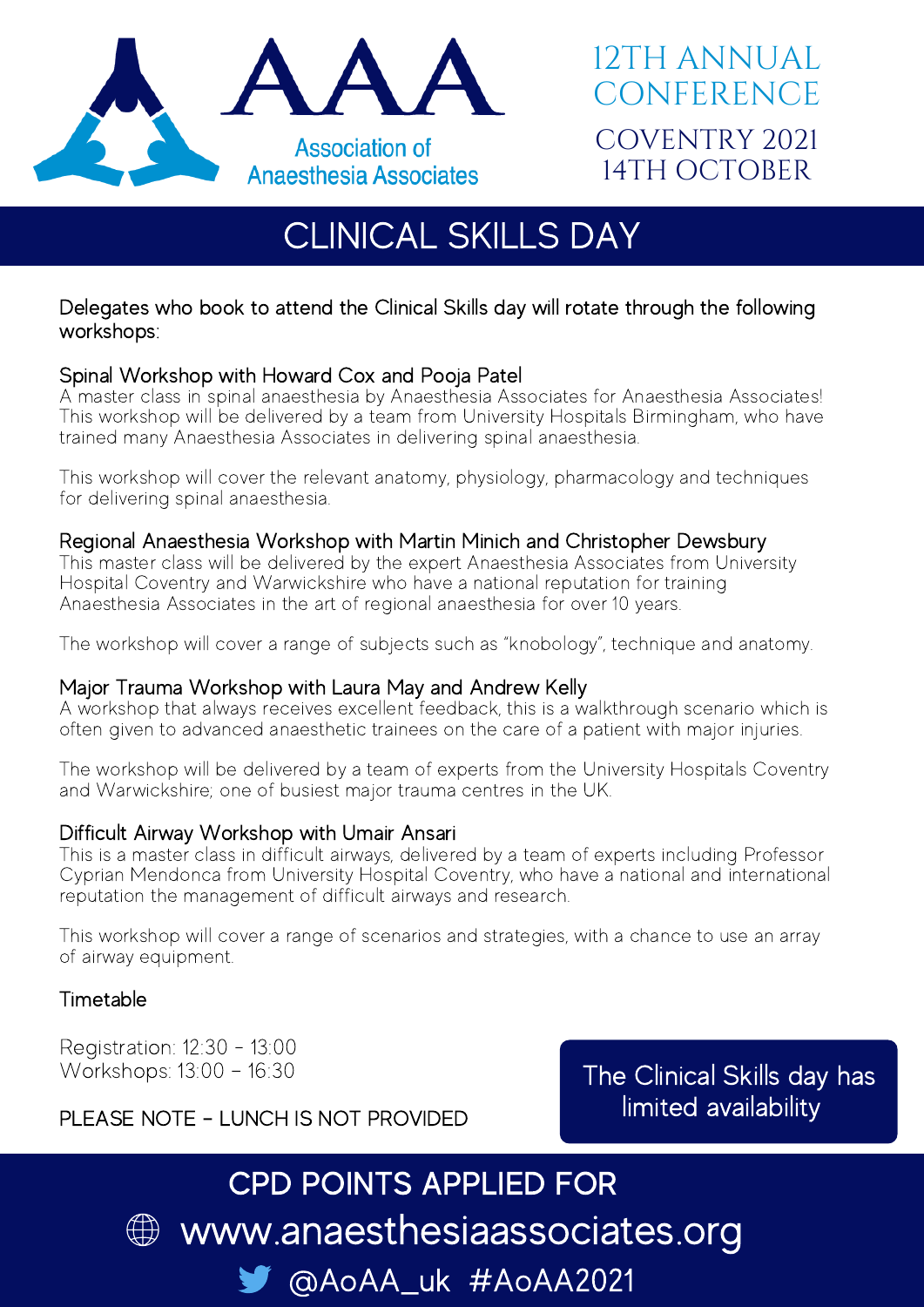

# CLINICAL SKILLS DAY

## Delegates who book to attend the Clinical Skills day will rotate through the following workshops:

## Spinal Workshop with Howard Cox and Pooja Patel

A master class in spinal anaesthesia by Anaesthesia Associates for Anaesthesia Associates! This workshop will be delivered by a team from University Hospitals Birmingham, who have trained many Anaesthesia Associates in delivering spinal anaesthesia.

This workshop will cover the relevant anatomy, physiology, pharmacology and techniques for delivering spinal anaesthesia.

### Regional Anaesthesia Workshop with Martin Minich and Christopher Dewsbury

This master class will be delivered by the expert Anaesthesia Associates from University Hospital Coventry and Warwickshire who have a national reputation for training Anaesthesia Associates in the art of regional anaesthesia for over 10 years.

The workshop will cover a range of subjects such as "knobology", technique and anatomy.

### Major Trauma Workshop with Laura May and Andrew Kelly

A workshop that always receives excellent feedback, this is a walkthrough scenario which is often given to advanced anaesthetic trainees on the care of a patient with major injuries.

The workshop will be delivered by a team of experts from the University Hospitals Coventry and Warwickshire; one of busiest major trauma centres in the UK.

### Difficult Airway Workshop with Umair Ansari

This is a master class in difficult airways, delivered by a team of experts including Professor Cyprian Mendonca from University Hospital Coventry, who have a national and international reputation the management of difficult airways and research.

This workshop will cover a range of scenarios and strategies, with a chance to use an array of airway equipment.

## Timetable

Registration: 12:30 - 13:00 Workshops: 13:00 – 16:30

The Clinical Skills day has limited availability

## PLEASE NOTE – LUNCH IS NOT PROVIDED

# www.anaesthesiaassociates.org @AoAA\_uk #AoAA2021 CPD POINTS APPLIED FOR